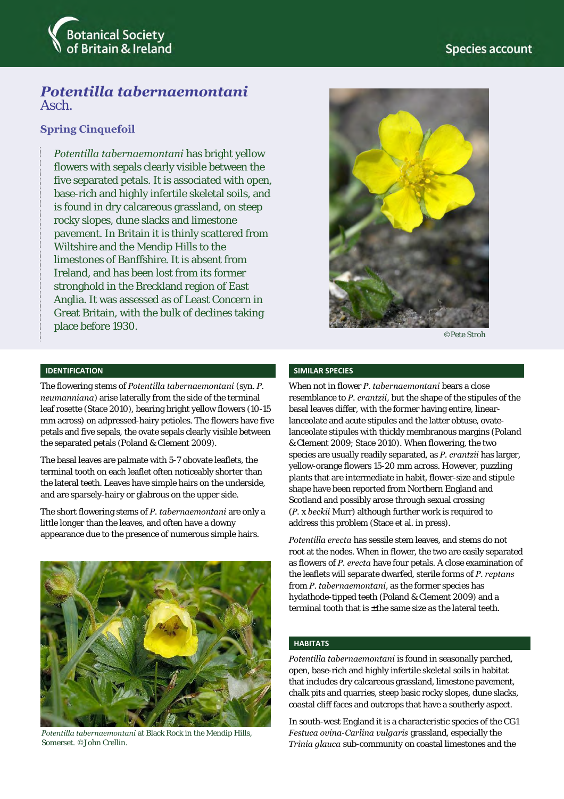

# *Potentilla tabernaemontani*  Asch.

# **Spring Cinquefoil**

*Potentilla tabernaemontani* has bright yellow flowers with sepals clearly visible between the five separated petals. It is associated with open, base-rich and highly infertile skeletal soils, and is found in dry calcareous grassland, on steep rocky slopes, dune slacks and limestone pavement. In Britain it is thinly scattered from Wiltshire and the Mendip Hills to the limestones of Banffshire. It is absent from Ireland, and has been lost from its former stronghold in the Breckland region of East Anglia. It was assessed as of Least Concern in Great Britain, with the bulk of declines taking place before 1930.



©Pete Stroh

## **IDENTIFICATION**

The flowering stems of *Potentilla tabernaemontani* (syn. *P. neumanniana*) arise laterally from the side of the terminal leaf rosette (Stace 2010), bearing bright yellow flowers (10-15 mm across) on adpressed-hairy petioles. The flowers have five petals and five sepals, the ovate sepals clearly visible between the separated petals (Poland & Clement 2009).

The basal leaves are palmate with 5-7 obovate leaflets, the terminal tooth on each leaflet often noticeably shorter than the lateral teeth. Leaves have simple hairs on the underside, and are sparsely-hairy or glabrous on the upper side.

The short flowering stems of *P. tabernaemontani* are only a little longer than the leaves, and often have a downy appearance due to the presence of numerous simple hairs.



*Potentilla tabernaemontani* at Black Rock in the Mendip Hills, Somerset. ©John Crellin.

## **SIMILAR SPECIES**

When not in flower *P. tabernaemontani* bears a close resemblance to *P. crantzii*, but the shape of the stipules of the basal leaves differ, with the former having entire, linearlanceolate and acute stipules and the latter obtuse, ovatelanceolate stipules with thickly membranous margins (Poland & Clement 2009; Stace 2010). When flowering, the two species are usually readily separated, as *P. crantzii* has larger, yellow-orange flowers 15-20 mm across. However, puzzling plants that are intermediate in habit, flower-size and stipule shape have been reported from Northern England and Scotland and possibly arose through sexual crossing (*P.* x *beckii* Murr) although further work is required to address this problem (Stace et al. in press).

*Potentilla erecta* has sessile stem leaves, and stems do not root at the nodes. When in flower, the two are easily separated as flowers of *P. erecta* have four petals. A close examination of the leaflets will separate dwarfed, sterile forms of *P. reptans* from *P. tabernaemontani*, as the former species has hydathode-tipped teeth (Poland & Clement 2009) and a terminal tooth that is +the same size as the lateral teeth.

#### **HABITATS**

*Potentilla tabernaemontani* is found in seasonally parched, open, base-rich and highly infertile skeletal soils in habitat that includes dry calcareous grassland, limestone pavement, chalk pits and quarries, steep basic rocky slopes, dune slacks, coastal cliff faces and outcrops that have a southerly aspect.

In south-west England it is a characteristic species of the CG1 *Festuca ovina*-*Carlina vulgaris* grassland, especially the *Trinia glauca* sub-community on coastal limestones and the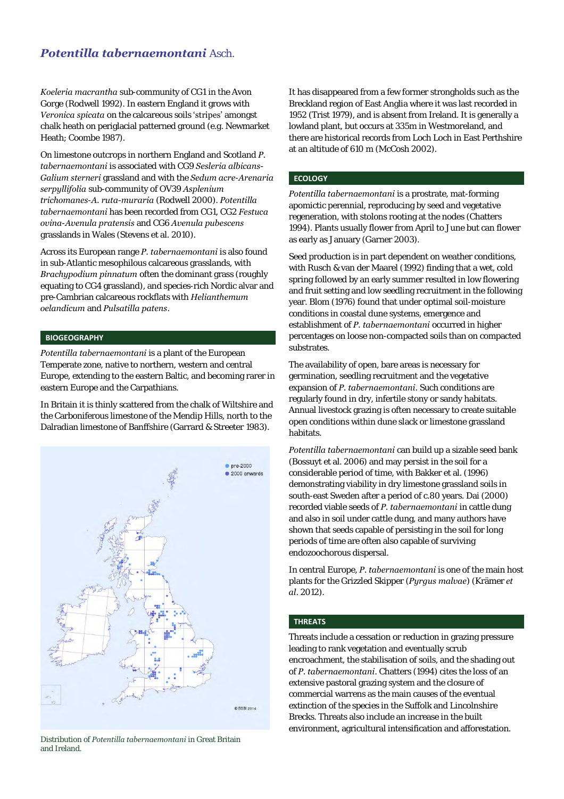# *Potentilla tabernaemontani* Asch.

*Koeleria macrantha* sub-community of CG1 in the Avon Gorge (Rodwell 1992). In eastern England it grows with *Veronica spicata* on the calcareous soils 'stripes' amongst chalk heath on periglacial patterned ground (e.g. Newmarket Heath; Coombe 1987).

On limestone outcrops in northern England and Scotland *P. tabernaemontani* is associated with CG9 *Sesleria albicans-Galium sterneri* grassland and with the *Sedum acre*-*Arenaria serpyllifolia* sub-community of OV39 *Asplenium trichomanes*-*A. ruta-muraria* (Rodwell 2000). *Potentilla tabernaemontani* has been recorded from CG1, CG2 *Festuca ovina*-*Avenula pratensis* and CG6 *Avenula pubescens* grasslands in Wales (Stevens et al. 2010).

Across its European range *P. tabernaemontani* is also found in sub-Atlantic mesophilous calcareous grasslands, with *Brachypodium pinnatum* often the dominant grass (roughly equating to CG4 grassland), and species-rich Nordic alvar and pre-Cambrian calcareous rockflats with *Helianthemum oelandicum* and *Pulsatilla patens*.

#### **BIOGEOGRAPHY**

*Potentilla tabernaemontani* is a plant of the European Temperate zone, native to northern, western and central Europe, extending to the eastern Baltic, and becoming rarer in eastern Europe and the Carpathians.

In Britain it is thinly scattered from the chalk of Wiltshire and the Carboniferous limestone of the Mendip Hills, north to the Dalradian limestone of Banffshire (Garrard & Streeter 1983).



Distribution of *Potentilla tabernaemontani* in Great Britain and Ireland.

It has disappeared from a few former strongholds such as the Breckland region of East Anglia where it was last recorded in 1952 (Trist 1979), and is absent from Ireland. It is generally a lowland plant, but occurs at 335m in Westmoreland, and there are historical records from Loch Loch in East Perthshire at an altitude of 610 m (McCosh 2002).

#### **ECOLOGY**

*Potentilla tabernaemontani* is a prostrate, mat-forming apomictic perennial, reproducing by seed and vegetative regeneration, with stolons rooting at the nodes (Chatters 1994). Plants usually flower from April to June but can flower as early as January (Garner 2003).

Seed production is in part dependent on weather conditions, with Rusch & van der Maarel (1992) finding that a wet, cold spring followed by an early summer resulted in low flowering and fruit setting and low seedling recruitment in the following year. Blom (1976) found that under optimal soil-moisture conditions in coastal dune systems, emergence and establishment of *P. tabernaemontani* occurred in higher percentages on loose non-compacted soils than on compacted substrates.

The availability of open, bare areas is necessary for germination, seedling recruitment and the vegetative expansion of *P. tabernaemontani*. Such conditions are regularly found in dry, infertile stony or sandy habitats. Annual livestock grazing is often necessary to create suitable open conditions within dune slack or limestone grassland habitats.

*Potentilla tabernaemontani* can build up a sizable seed bank (Bossuyt et al. 2006) and may persist in the soil for a considerable period of time, with Bakker et al. (1996) demonstrating viability in dry limestone grassland soils in south-east Sweden after a period of c.80 years. Dai (2000) recorded viable seeds of *P. tabernaemontani* in cattle dung and also in soil under cattle dung, and many authors have shown that seeds capable of persisting in the soil for long periods of time are often also capable of surviving endozoochorous dispersal.

In central Europe, *P. tabernaemontani* is one of the main host plants for the Grizzled Skipper (*Pyrgus malvae*) (Krämer *et al*. 2012).

# **THREATS**

Threats include a cessation or reduction in grazing pressure leading to rank vegetation and eventually scrub encroachment, the stabilisation of soils, and the shading out of *P. tabernaemontani*. Chatters (1994) cites the loss of an extensive pastoral grazing system and the closure of commercial warrens as the main causes of the eventual extinction of the species in the Suffolk and Lincolnshire Brecks. Threats also include an increase in the built environment, agricultural intensification and afforestation.